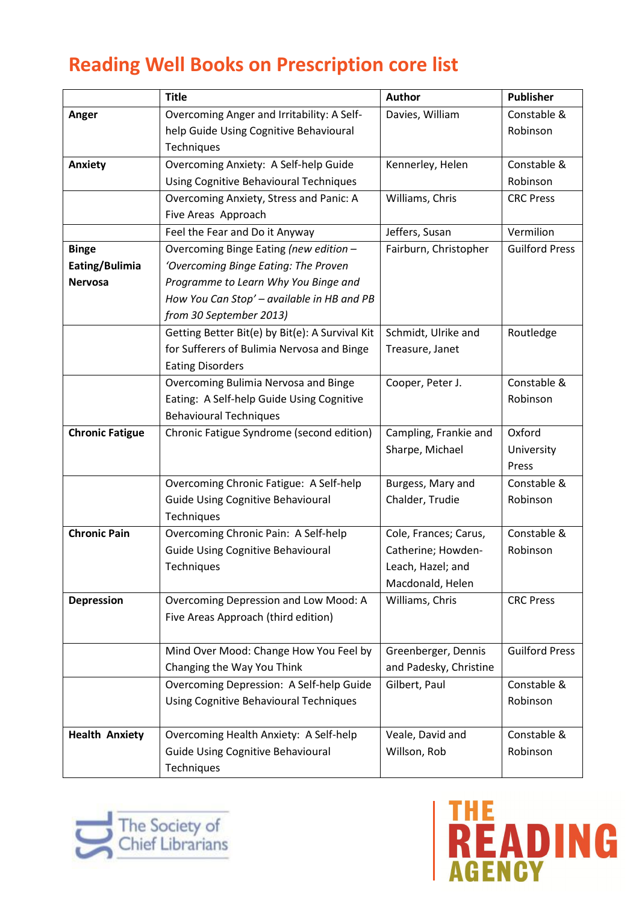## **Reading Well Books on Prescription core list**

|                        | <b>Title</b>                                    | <b>Author</b>          | <b>Publisher</b>      |
|------------------------|-------------------------------------------------|------------------------|-----------------------|
| Anger                  | Overcoming Anger and Irritability: A Self-      | Davies, William        | Constable &           |
|                        | help Guide Using Cognitive Behavioural          |                        | Robinson              |
|                        | Techniques                                      |                        |                       |
| Anxiety                | Overcoming Anxiety: A Self-help Guide           | Kennerley, Helen       | Constable &           |
|                        | <b>Using Cognitive Behavioural Techniques</b>   |                        | Robinson              |
|                        | Overcoming Anxiety, Stress and Panic: A         | Williams, Chris        | <b>CRC Press</b>      |
|                        | Five Areas Approach                             |                        |                       |
|                        | Feel the Fear and Do it Anyway                  | Jeffers, Susan         | Vermilion             |
| <b>Binge</b>           | Overcoming Binge Eating (new edition -          | Fairburn, Christopher  | <b>Guilford Press</b> |
| Eating/Bulimia         | 'Overcoming Binge Eating: The Proven            |                        |                       |
| <b>Nervosa</b>         | Programme to Learn Why You Binge and            |                        |                       |
|                        | How You Can Stop' - available in HB and PB      |                        |                       |
|                        | from 30 September 2013)                         |                        |                       |
|                        | Getting Better Bit(e) by Bit(e): A Survival Kit | Schmidt, Ulrike and    | Routledge             |
|                        | for Sufferers of Bulimia Nervosa and Binge      | Treasure, Janet        |                       |
|                        | <b>Eating Disorders</b>                         |                        |                       |
|                        | Overcoming Bulimia Nervosa and Binge            | Cooper, Peter J.       | Constable &           |
|                        | Eating: A Self-help Guide Using Cognitive       |                        | Robinson              |
|                        | <b>Behavioural Techniques</b>                   |                        |                       |
| <b>Chronic Fatigue</b> | Chronic Fatigue Syndrome (second edition)       | Campling, Frankie and  | Oxford                |
|                        |                                                 | Sharpe, Michael        | University            |
|                        |                                                 |                        | Press                 |
|                        | Overcoming Chronic Fatigue: A Self-help         | Burgess, Mary and      | Constable &           |
|                        | <b>Guide Using Cognitive Behavioural</b>        | Chalder, Trudie        | Robinson              |
|                        | Techniques                                      |                        |                       |
| <b>Chronic Pain</b>    | Overcoming Chronic Pain: A Self-help            | Cole, Frances; Carus,  | Constable &           |
|                        | <b>Guide Using Cognitive Behavioural</b>        | Catherine; Howden-     | Robinson              |
|                        | Techniques                                      | Leach, Hazel; and      |                       |
|                        |                                                 | Macdonald, Helen       |                       |
| <b>Depression</b>      | Overcoming Depression and Low Mood: A           | Williams, Chris        | <b>CRC Press</b>      |
|                        | Five Areas Approach (third edition)             |                        |                       |
|                        |                                                 |                        |                       |
|                        | Mind Over Mood: Change How You Feel by          | Greenberger, Dennis    | <b>Guilford Press</b> |
|                        | Changing the Way You Think                      | and Padesky, Christine |                       |
|                        | Overcoming Depression: A Self-help Guide        | Gilbert, Paul          | Constable &           |
|                        | Using Cognitive Behavioural Techniques          |                        | Robinson              |
| <b>Health Anxiety</b>  | Overcoming Health Anxiety: A Self-help          | Veale, David and       | Constable &           |
|                        | <b>Guide Using Cognitive Behavioural</b>        | Willson, Rob           | Robinson              |
|                        | Techniques                                      |                        |                       |